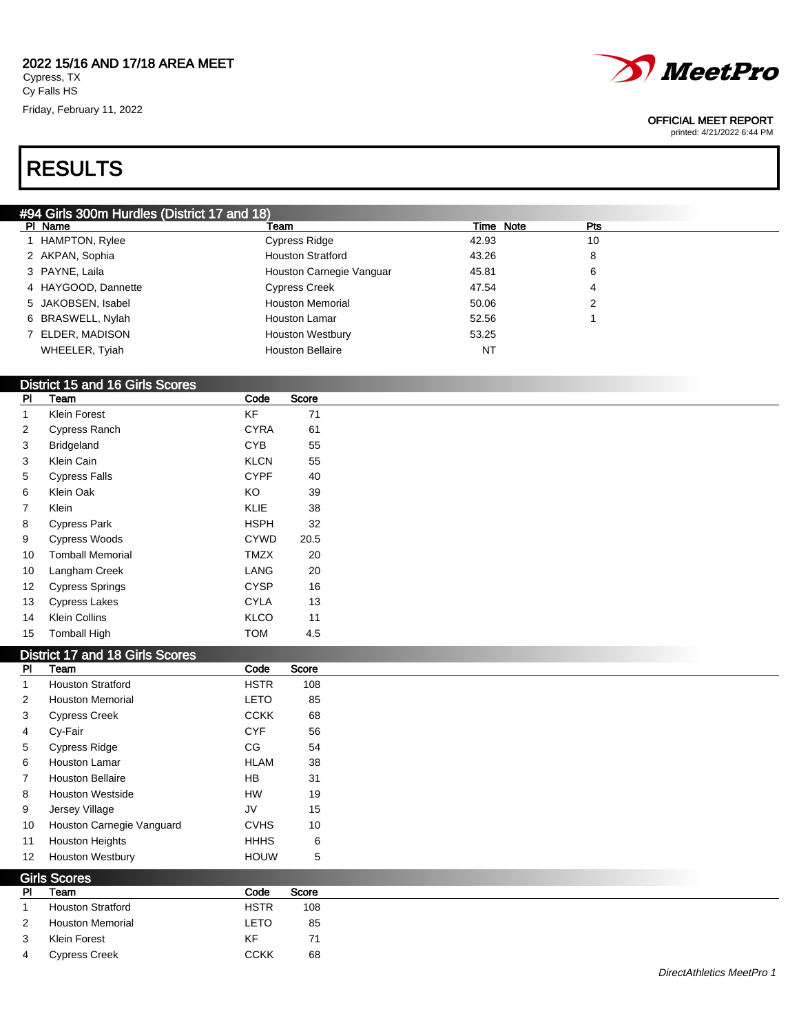#### 2022 15/16 AND 17/18 AREA MEET Cypress, TX Cy Falls HS

Friday, February 11, 2022



#### OFFICIAL MEET REPORT

printed: 4/21/2022 6:44 PM

# RESULTS

| #94 Girls 300m Hurdles (District 17 and 18) |                     |                          |           |     |  |  |  |  |
|---------------------------------------------|---------------------|--------------------------|-----------|-----|--|--|--|--|
|                                             | PI Name             | Team                     | Time Note | Pts |  |  |  |  |
|                                             | 1 HAMPTON, Rylee    | Cypress Ridge            | 42.93     | 10  |  |  |  |  |
|                                             | 2 AKPAN, Sophia     | <b>Houston Stratford</b> | 43.26     | 8   |  |  |  |  |
|                                             | 3 PAYNE, Laila      | Houston Carnegie Vanguar | 45.81     | 6   |  |  |  |  |
|                                             | 4 HAYGOOD, Dannette | <b>Cypress Creek</b>     | 47.54     | 4   |  |  |  |  |
|                                             | 5 JAKOBSEN, Isabel  | <b>Houston Memorial</b>  | 50.06     | 2   |  |  |  |  |
|                                             | 6 BRASWELL, Nylah   | Houston Lamar            | 52.56     |     |  |  |  |  |
|                                             | 7 ELDER, MADISON    | <b>Houston Westbury</b>  | 53.25     |     |  |  |  |  |
|                                             | WHEELER, Tyiah      | <b>Houston Bellaire</b>  | NT        |     |  |  |  |  |

### District 15 and 16 Girls Scores

| PI             | Team                    | Code        | Score |
|----------------|-------------------------|-------------|-------|
| 1              | Klein Forest            | <b>KF</b>   | 71    |
| 2              | Cypress Ranch           | <b>CYRA</b> | 61    |
| 3              | <b>Bridgeland</b>       | <b>CYB</b>  | 55    |
| 3              | Klein Cain              | <b>KLCN</b> | 55    |
| 5              | <b>Cypress Falls</b>    | <b>CYPF</b> | 40    |
| 6              | Klein Oak               | KO          | 39    |
| $\overline{7}$ | Klein                   | KLIE        | 38    |
| 8              | <b>Cypress Park</b>     | <b>HSPH</b> | 32    |
| 9              | <b>Cypress Woods</b>    | <b>CYWD</b> | 20.5  |
| 10             | <b>Tomball Memorial</b> | TMZX        | 20    |
| 10             | Langham Creek           | LANG        | 20    |
| 12             | <b>Cypress Springs</b>  | <b>CYSP</b> | 16    |
| 13             | <b>Cypress Lakes</b>    | <b>CYLA</b> | 13    |
| 14             | <b>Klein Collins</b>    | <b>KLCO</b> | 11    |
| 15             | <b>Tomball High</b>     | TOM         | 4.5   |

#### District 17 and 18 Girls Scores

 $\mathbf{S}$ 

| <b>PI</b>      | Team                      | Code        | Score |
|----------------|---------------------------|-------------|-------|
| 1              | <b>Houston Stratford</b>  | <b>HSTR</b> | 108   |
| 2              | <b>Houston Memorial</b>   | <b>LETO</b> | 85    |
| 3              | <b>Cypress Creek</b>      | <b>CCKK</b> | 68    |
| 4              | Cy-Fair                   | <b>CYF</b>  | 56    |
| $5^{\circ}$    | <b>Cypress Ridge</b>      | CG          | 54    |
| 6              | <b>Houston Lamar</b>      | <b>HLAM</b> | 38    |
| $\overline{7}$ | <b>Houston Bellaire</b>   | <b>HB</b>   | 31    |
| 8              | <b>Houston Westside</b>   | <b>HW</b>   | 19    |
| 9              | Jersey Village            | JV          | 15    |
| 10             | Houston Carnegie Vanguard | <b>CVHS</b> | 10    |
| 11             | <b>Houston Heights</b>    | <b>HHHS</b> | 6     |
| 12             | <b>Houston Westbury</b>   | <b>HOUW</b> | 5     |

| <b>GITIS SCOTES</b> |                          |             |       |  |
|---------------------|--------------------------|-------------|-------|--|
| <b>PI</b>           | Team                     | Code        | Score |  |
|                     | <b>Houston Stratford</b> | <b>HSTR</b> | 108   |  |
| 2                   | <b>Houston Memorial</b>  | LETO        | 85    |  |
| 3                   | Klein Forest             | KF          | 71    |  |
| $\overline{4}$      | <b>Cypress Creek</b>     | <b>CCKK</b> | 68    |  |